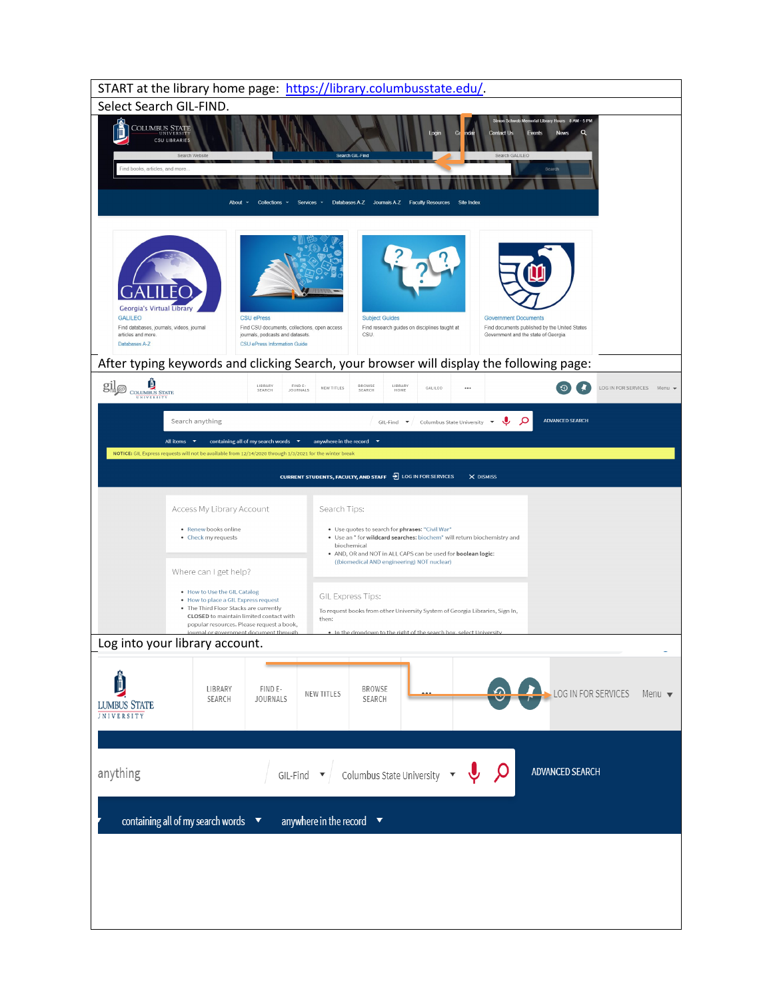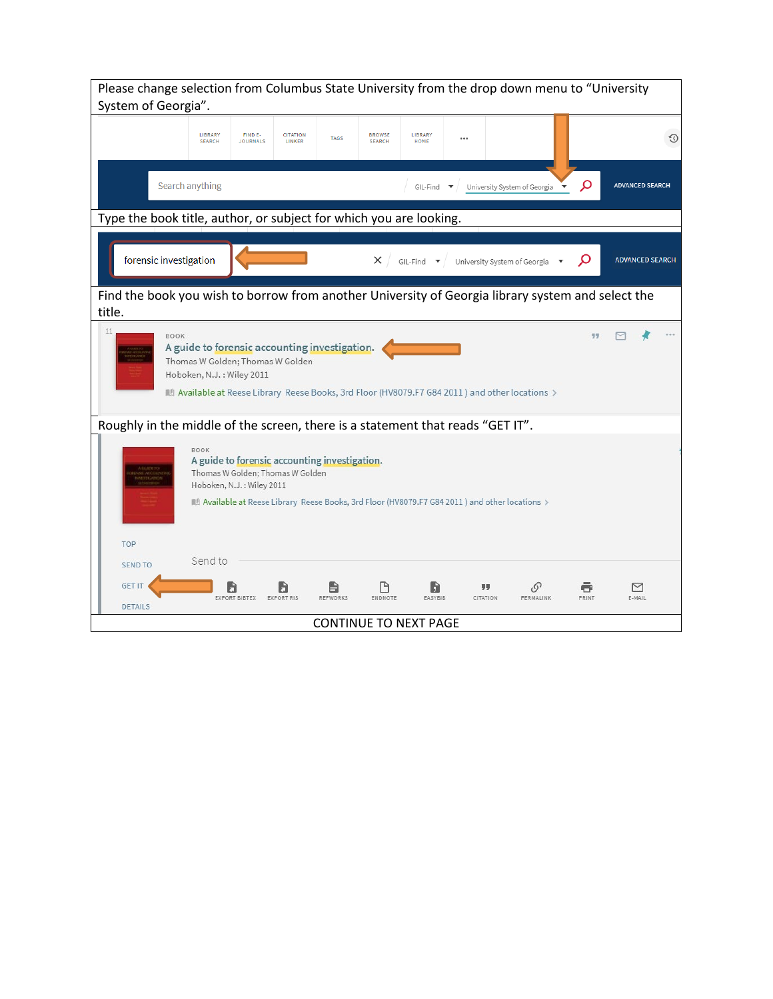| Please change selection from Columbus State University from the drop down menu to "University<br>System of Georgia".                                                                                                                                         |    |  |  |  |  |  |
|--------------------------------------------------------------------------------------------------------------------------------------------------------------------------------------------------------------------------------------------------------------|----|--|--|--|--|--|
| LIBRARY<br>FIND E-<br><b>CITATION</b><br>LIBRARY<br><b>BROWSE</b><br><b>TAGS</b><br><br><b>SEARCH</b><br><b>JOURNALS</b><br>LINKER<br><b>SEARCH</b><br>HOME                                                                                                  | €0 |  |  |  |  |  |
| Search anything<br>Q<br><b>ADVANCED SEARCH</b><br>GIL-Find<br>University System of Georgia                                                                                                                                                                   |    |  |  |  |  |  |
| Type the book title, author, or subject for which you are looking.                                                                                                                                                                                           |    |  |  |  |  |  |
| forensic investigation<br>Q<br>$\times$ /<br><b>ADVANCED SEARCH</b><br>$GIL-Find$ $\blacktriangledown$<br>University System of Georgia                                                                                                                       |    |  |  |  |  |  |
| Find the book you wish to borrow from another University of Georgia library system and select the<br>title.                                                                                                                                                  |    |  |  |  |  |  |
| 11<br><b>BOOK</b><br>A guide to forensic accounting investigation.<br>Thomas W Golden; Thomas W Golden<br>Hoboken, N.J.: Wiley 2011<br>Available at Reese Library Reese Books, 3rd Floor (HV8079.F7 G84 2011) and other locations >                          |    |  |  |  |  |  |
| Roughly in the middle of the screen, there is a statement that reads "GET IT".                                                                                                                                                                               |    |  |  |  |  |  |
| <b>BOOK</b><br>A guide to forensic accounting investigation.<br>Thomas W Golden; Thomas W Golden<br>Hoboken, N.J.: Wiley 2011<br>$\blacksquare$ Available at Reese Library Reese Books, 3rd Floor (HV8079.F7 G84 2011 ) and other locations $\triangleright$ |    |  |  |  |  |  |
| TOP                                                                                                                                                                                                                                                          |    |  |  |  |  |  |
| Send to<br><b>SEND TO</b>                                                                                                                                                                                                                                    |    |  |  |  |  |  |
| <b>GET IT</b><br>$\mathcal{O}$<br>M<br>5ì<br><b>EXPORT BIBTEX</b><br>REEWORKS<br><b>FNDNOTE</b><br>PRINT<br>F-MAIL<br>FASYRIR<br>CITATION<br>PERMALINK<br><b>EXPORT RIS</b>                                                                                  |    |  |  |  |  |  |
| <b>DETAILS</b><br><b>CONTINUE TO NEXT PAGE</b>                                                                                                                                                                                                               |    |  |  |  |  |  |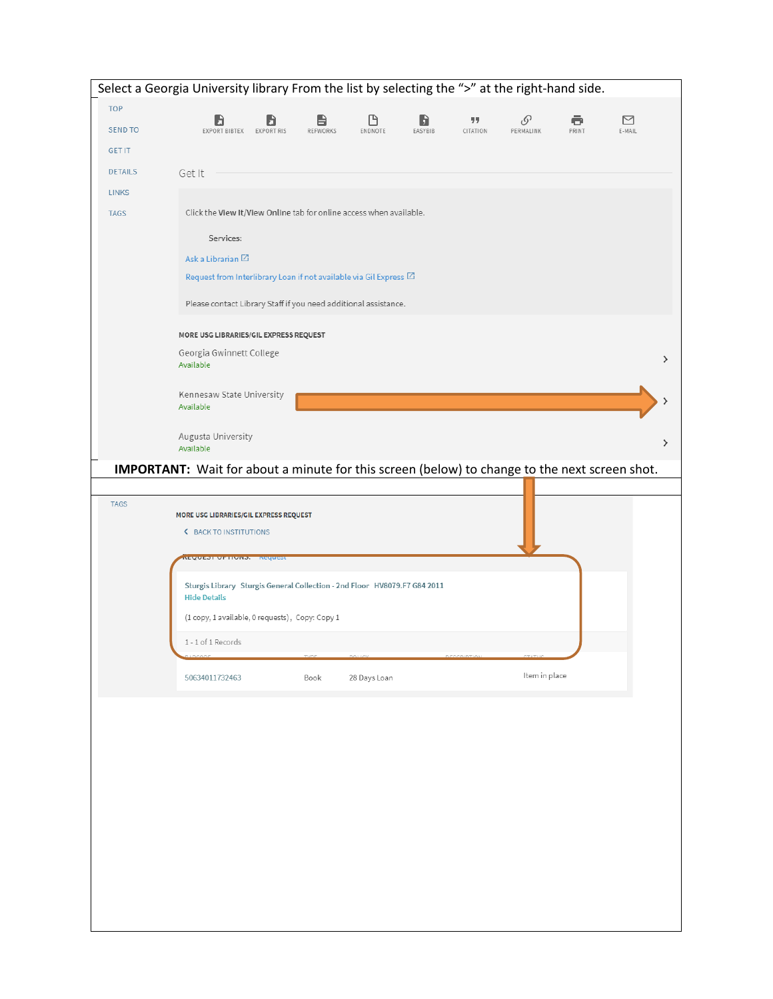|                | Select a Georgia University library From the list by selecting the ">" at the right-hand side.                                                     |   |  |  |  |  |  |
|----------------|----------------------------------------------------------------------------------------------------------------------------------------------------|---|--|--|--|--|--|
| <b>TOP</b>     |                                                                                                                                                    |   |  |  |  |  |  |
| <b>SEND TO</b> | ᠿ<br>σ<br>罓<br>D<br>99<br>o<br>O<br>ᆷ<br>EXPORT BIBTEX<br>ENDNOTE<br>CITATION<br>PERMALINK<br>PRINT<br>EXPORT RIS<br>REFWORKS<br>EASYBIB<br>E-MAIL |   |  |  |  |  |  |
| <b>GET IT</b>  |                                                                                                                                                    |   |  |  |  |  |  |
| <b>DETAILS</b> | Get It                                                                                                                                             |   |  |  |  |  |  |
| <b>LINKS</b>   |                                                                                                                                                    |   |  |  |  |  |  |
| <b>TAGS</b>    | Click the View It/View Online tab for online access when available.                                                                                |   |  |  |  |  |  |
|                | Services:                                                                                                                                          |   |  |  |  |  |  |
|                | Ask a Librarian <sup>[2]</sup>                                                                                                                     |   |  |  |  |  |  |
|                | Request from Interlibrary Loan if not available via Gil Express <a>[2]</a>                                                                         |   |  |  |  |  |  |
|                |                                                                                                                                                    |   |  |  |  |  |  |
|                | Please contact Library Staff if you need additional assistance.                                                                                    |   |  |  |  |  |  |
|                | MORE USG LIBRARIES/GIL EXPRESS REQUEST                                                                                                             |   |  |  |  |  |  |
|                | Georgia Gwinnett College<br>Available                                                                                                              | > |  |  |  |  |  |
|                | Kennesaw State University<br>Available                                                                                                             |   |  |  |  |  |  |
|                |                                                                                                                                                    |   |  |  |  |  |  |
|                | Augusta University<br>Available                                                                                                                    | ゝ |  |  |  |  |  |
|                | IMPORTANT: Wait for about a minute for this screen (below) to change to the next screen shot.                                                      |   |  |  |  |  |  |
|                |                                                                                                                                                    |   |  |  |  |  |  |
| <b>TAGS</b>    | MORE USG LIBRARIES/GIL EXPRESS REQUEST<br><b>&lt; BACK TO INSTITUTIONS</b>                                                                         |   |  |  |  |  |  |
|                | <b>EQUEST OF HONS. INEQUES</b>                                                                                                                     |   |  |  |  |  |  |
|                | Sturgis Library Sturgis General Collection - 2nd Floor HV8079.F7 G84 2011<br><b>Hide Details</b>                                                   |   |  |  |  |  |  |
|                | (1 copy, 1 available, 0 requests), Copy: Copy 1                                                                                                    |   |  |  |  |  |  |
|                | 1-1 of 1 Records                                                                                                                                   |   |  |  |  |  |  |
|                | ADCODE<br>Item in place<br>50634011732463<br>Book<br>28 Days Loan                                                                                  |   |  |  |  |  |  |
|                |                                                                                                                                                    |   |  |  |  |  |  |
|                |                                                                                                                                                    |   |  |  |  |  |  |
|                |                                                                                                                                                    |   |  |  |  |  |  |
|                |                                                                                                                                                    |   |  |  |  |  |  |
|                |                                                                                                                                                    |   |  |  |  |  |  |
|                |                                                                                                                                                    |   |  |  |  |  |  |
|                |                                                                                                                                                    |   |  |  |  |  |  |
|                |                                                                                                                                                    |   |  |  |  |  |  |
|                |                                                                                                                                                    |   |  |  |  |  |  |
|                |                                                                                                                                                    |   |  |  |  |  |  |
|                |                                                                                                                                                    |   |  |  |  |  |  |
|                |                                                                                                                                                    |   |  |  |  |  |  |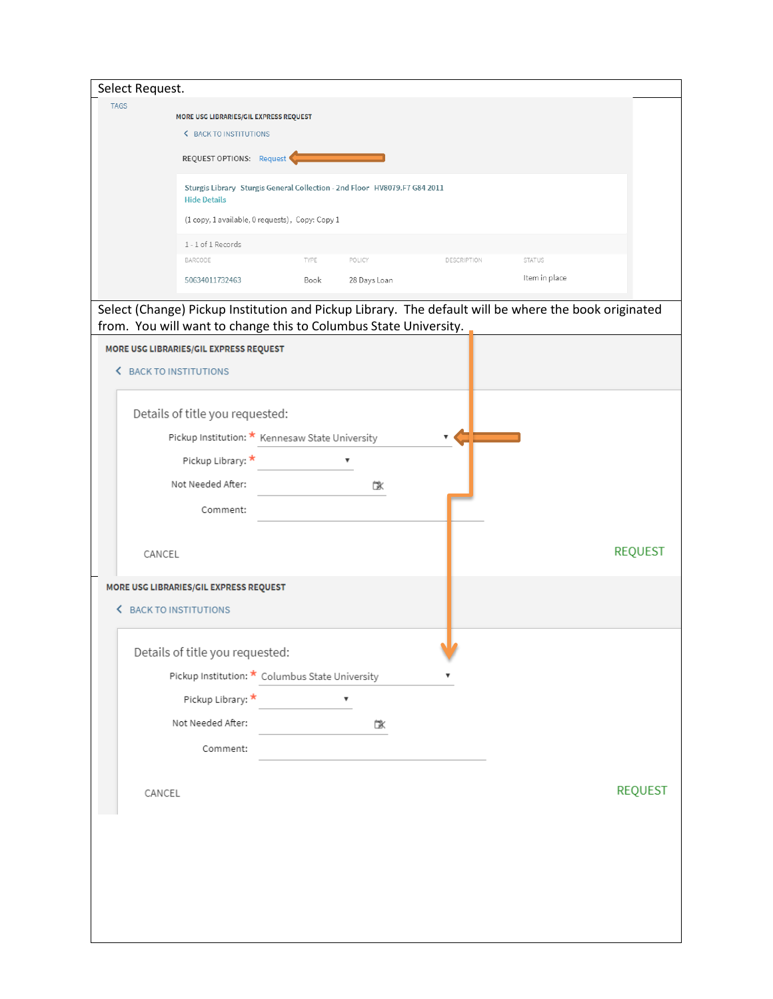| Select Request. |                                                                                                  |      |                    |             |                                                                                                      |                |
|-----------------|--------------------------------------------------------------------------------------------------|------|--------------------|-------------|------------------------------------------------------------------------------------------------------|----------------|
| <b>TAGS</b>     |                                                                                                  |      |                    |             |                                                                                                      |                |
|                 | MORE USG LIBRARIES/GIL EXPRESS REQUEST<br><b>&lt; BACK TO INSTITUTIONS</b>                       |      |                    |             |                                                                                                      |                |
|                 |                                                                                                  |      |                    |             |                                                                                                      |                |
|                 | REQUEST OPTIONS: Request                                                                         |      |                    |             |                                                                                                      |                |
|                 | Sturgis Library Sturgis General Collection - 2nd Floor HV8079.F7 G84 2011<br><b>Hide Details</b> |      |                    |             |                                                                                                      |                |
|                 | (1 copy, 1 available, 0 requests), Copy: Copy 1                                                  |      |                    |             |                                                                                                      |                |
|                 | 1 - 1 of 1 Records                                                                               |      |                    |             |                                                                                                      |                |
|                 | BARCODE                                                                                          | TYPE | POLICY             | DESCRIPTION | STATUS                                                                                               |                |
|                 | 50634011732463                                                                                   | Book | 28 Days Loan       |             | Item in place                                                                                        |                |
|                 |                                                                                                  |      |                    |             | Select (Change) Pickup Institution and Pickup Library. The default will be where the book originated |                |
|                 | from. You will want to change this to Columbus State University.                                 |      |                    |             |                                                                                                      |                |
|                 | MORE USG LIBRARIES/GIL EXPRESS REQUEST                                                           |      |                    |             |                                                                                                      |                |
|                 | <b>K</b> BACK TO INSTITUTIONS                                                                    |      |                    |             |                                                                                                      |                |
|                 |                                                                                                  |      |                    |             |                                                                                                      |                |
|                 | Details of title you requested:                                                                  |      |                    |             |                                                                                                      |                |
|                 | Pickup Institution: * Kennesaw State University                                                  |      |                    |             |                                                                                                      |                |
|                 | Pickup Library: *                                                                                |      | ▼                  |             |                                                                                                      |                |
|                 |                                                                                                  |      |                    |             |                                                                                                      |                |
|                 | Not Needed After:                                                                                |      | 冰                  |             |                                                                                                      |                |
|                 | Comment:                                                                                         |      |                    |             |                                                                                                      |                |
|                 |                                                                                                  |      |                    |             |                                                                                                      |                |
| CANCEL          |                                                                                                  |      |                    |             |                                                                                                      | <b>REQUEST</b> |
|                 |                                                                                                  |      |                    |             |                                                                                                      |                |
|                 | MORE USG LIBRARIES/GIL EXPRESS REQUEST                                                           |      |                    |             |                                                                                                      |                |
| ◟               | <b>BACK TO INSTITUTIONS</b>                                                                      |      |                    |             |                                                                                                      |                |
|                 | Details of title you requested:                                                                  |      |                    |             |                                                                                                      |                |
|                 | Pickup Institution: * Columbus State University                                                  |      |                    |             |                                                                                                      |                |
|                 |                                                                                                  |      |                    |             |                                                                                                      |                |
|                 | Pickup Library: *                                                                                |      | $\pmb{\mathrm{v}}$ |             |                                                                                                      |                |
|                 | Not Needed After:                                                                                |      | 冰                  |             |                                                                                                      |                |
|                 | Comment:                                                                                         |      |                    |             |                                                                                                      |                |
|                 |                                                                                                  |      |                    |             |                                                                                                      |                |
| CANCEL          |                                                                                                  |      |                    |             |                                                                                                      | <b>REQUEST</b> |
|                 |                                                                                                  |      |                    |             |                                                                                                      |                |
|                 |                                                                                                  |      |                    |             |                                                                                                      |                |
|                 |                                                                                                  |      |                    |             |                                                                                                      |                |
|                 |                                                                                                  |      |                    |             |                                                                                                      |                |
|                 |                                                                                                  |      |                    |             |                                                                                                      |                |
|                 |                                                                                                  |      |                    |             |                                                                                                      |                |
|                 |                                                                                                  |      |                    |             |                                                                                                      |                |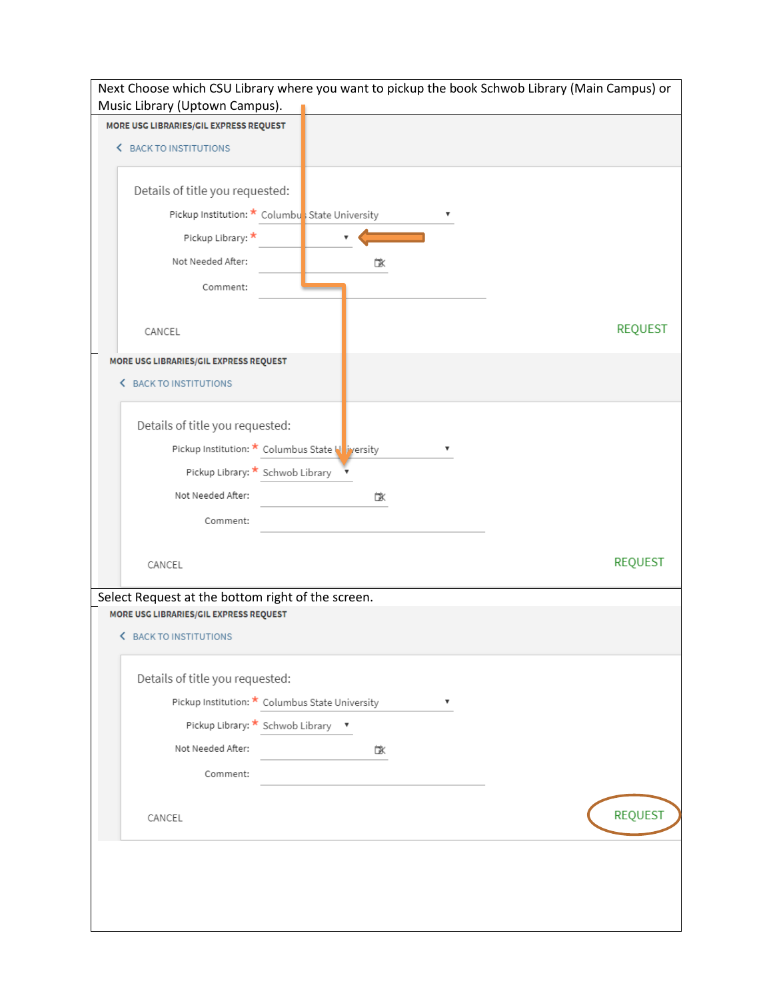| Next Choose which CSU Library where you want to pickup the book Schwob Library (Main Campus) or<br>Music Library (Uptown Campus). |                |  |  |  |
|-----------------------------------------------------------------------------------------------------------------------------------|----------------|--|--|--|
| MORE USG LIBRARIES/GIL EXPRESS REQUEST                                                                                            |                |  |  |  |
| <b>&lt; BACK TO INSTITUTIONS</b>                                                                                                  |                |  |  |  |
| Details of title you requested:                                                                                                   |                |  |  |  |
| Pickup Institution: * Columbus State University                                                                                   |                |  |  |  |
| Pickup Library: *                                                                                                                 |                |  |  |  |
| Not Needed After:                                                                                                                 | ГX             |  |  |  |
| Comment:                                                                                                                          |                |  |  |  |
| CANCEL                                                                                                                            | <b>REQUEST</b> |  |  |  |
| MORE USG LIBRARIES/GIL EXPRESS REQUEST                                                                                            |                |  |  |  |
| <b>&lt; BACK TO INSTITUTIONS</b>                                                                                                  |                |  |  |  |
| Details of title you requested:                                                                                                   |                |  |  |  |
| Pickup Institution: * Columbus State Noversity                                                                                    |                |  |  |  |
| Pickup Library: * Schwob Library *                                                                                                |                |  |  |  |
| Not Needed After:                                                                                                                 | 砯              |  |  |  |
| Comment:                                                                                                                          |                |  |  |  |
| CANCEL                                                                                                                            | <b>REQUEST</b> |  |  |  |
| Select Request at the bottom right of the screen.                                                                                 |                |  |  |  |
| MORE USG LIBRARIES/GIL EXPRESS REQUEST<br><b>&lt; BACK TO INSTITUTIONS</b>                                                        |                |  |  |  |
| Details of title you requested:                                                                                                   |                |  |  |  |
| Pickup Institution: * Columbus State University                                                                                   |                |  |  |  |
| Pickup Library: * Schwob Library v                                                                                                |                |  |  |  |
| Not Needed After:                                                                                                                 | 砯              |  |  |  |
| Comment:                                                                                                                          |                |  |  |  |
| CANCEL                                                                                                                            | <b>REQUEST</b> |  |  |  |
|                                                                                                                                   |                |  |  |  |